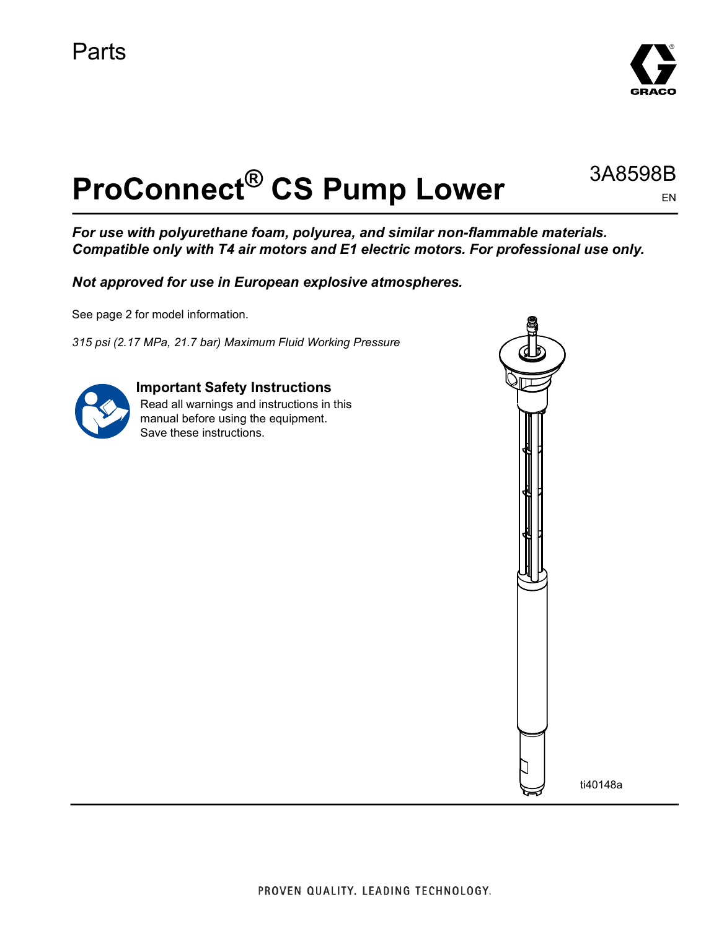

EN

3A8598B

# **ProConnect® CS Pump Lower**

*For use with polyurethane foam, polyurea, and similar non-flammable materials. Compatible only with T4 air motors and E1 electric motors. For professional use only.*

*Not approved for use in European explosive atmospheres.*

See page [2](#page-1-0) for model information.

*315 psi (2.17 MPa, 21.7 bar) Maximum Fluid Working Pressure*



### **Important Safety Instructions**

Read all warnings and instructions in this manual before using the equipment. Save these instructions.

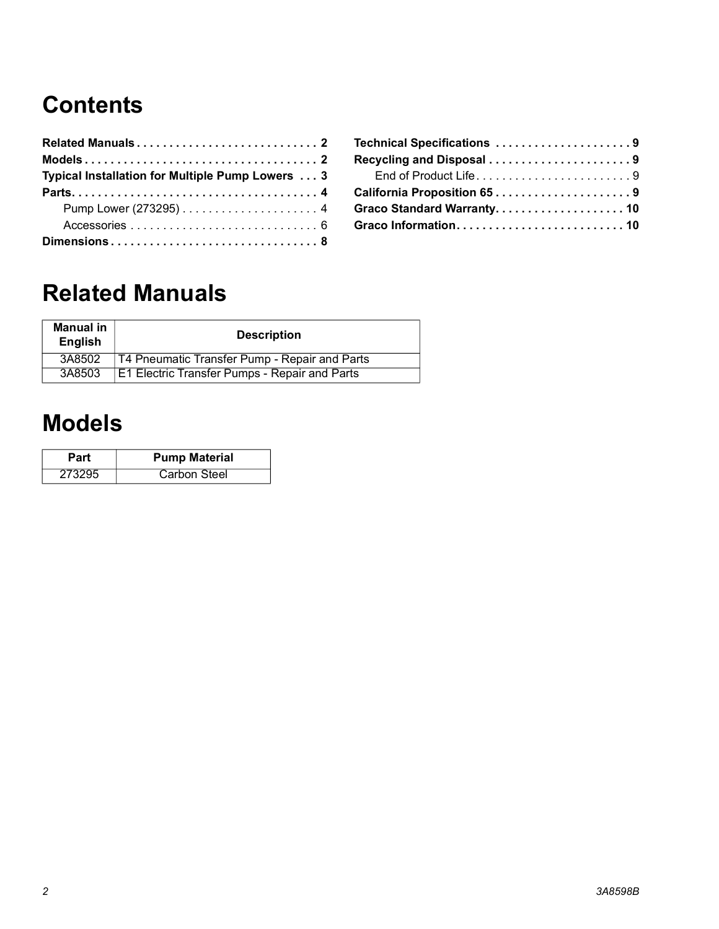# **Contents**

| Typical Installation for Multiple Pump Lowers 3 |  |
|-------------------------------------------------|--|
|                                                 |  |
|                                                 |  |
|                                                 |  |
|                                                 |  |

| Technical Specifications 9 |  |
|----------------------------|--|
| Recycling and Disposal 9   |  |
| End of Product Life9       |  |
| California Proposition 659 |  |
| Graco Standard Warranty10  |  |
|                            |  |

# <span id="page-1-0"></span>**Related Manuals**

| Manual in<br><b>English</b> | <b>Description</b>                                   |  |
|-----------------------------|------------------------------------------------------|--|
| 3A8502                      | <b>T4 Pneumatic Transfer Pump - Repair and Parts</b> |  |
| 3A8503                      | E1 Electric Transfer Pumps - Repair and Parts        |  |

### <span id="page-1-1"></span>**Models**

| Part   | <b>Pump Material</b> |  |
|--------|----------------------|--|
| 273295 | Carbon Steel         |  |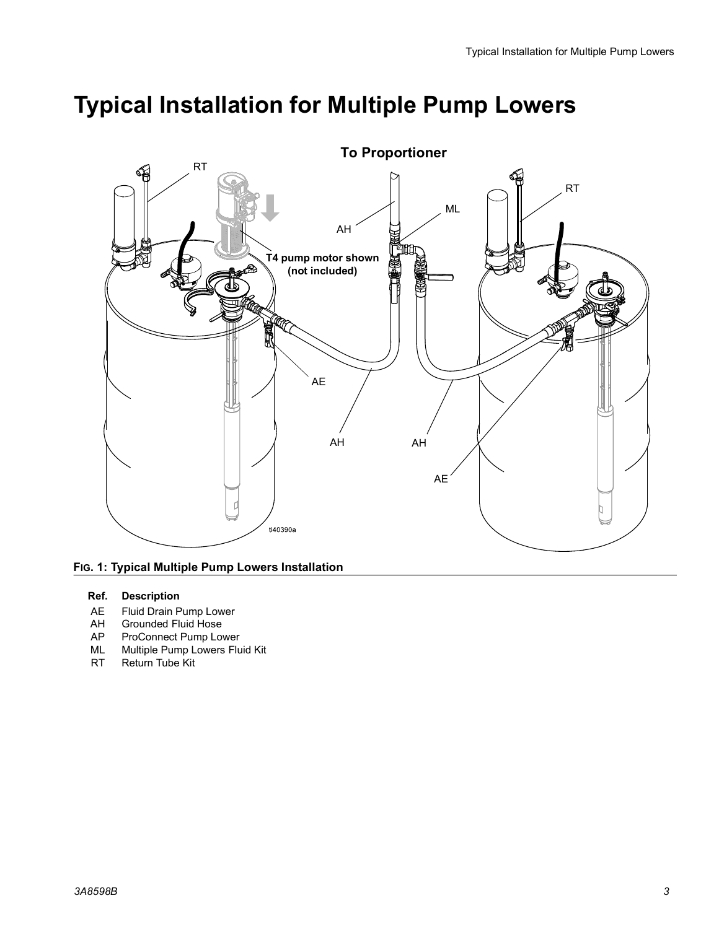### <span id="page-2-0"></span>**Typical Installation for Multiple Pump Lowers**



#### **To Proportioner**



#### **Ref. Description**

- AE Fluid Drain Pump Lower<br>AH Grounded Fluid Hose
- Grounded Fluid Hose
- AP ProConnect Pump Lower
- ML Multiple Pump Lowers Fluid Kit
- RT Return Tube Kit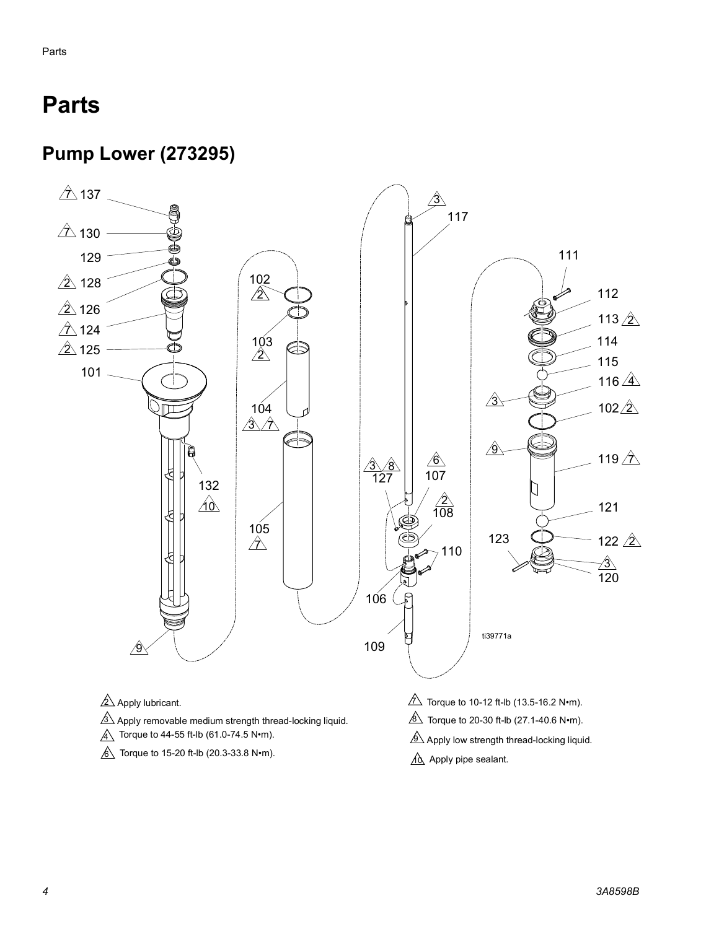# <span id="page-3-0"></span>**Parts**

### <span id="page-3-1"></span>**Pump Lower (273295)**

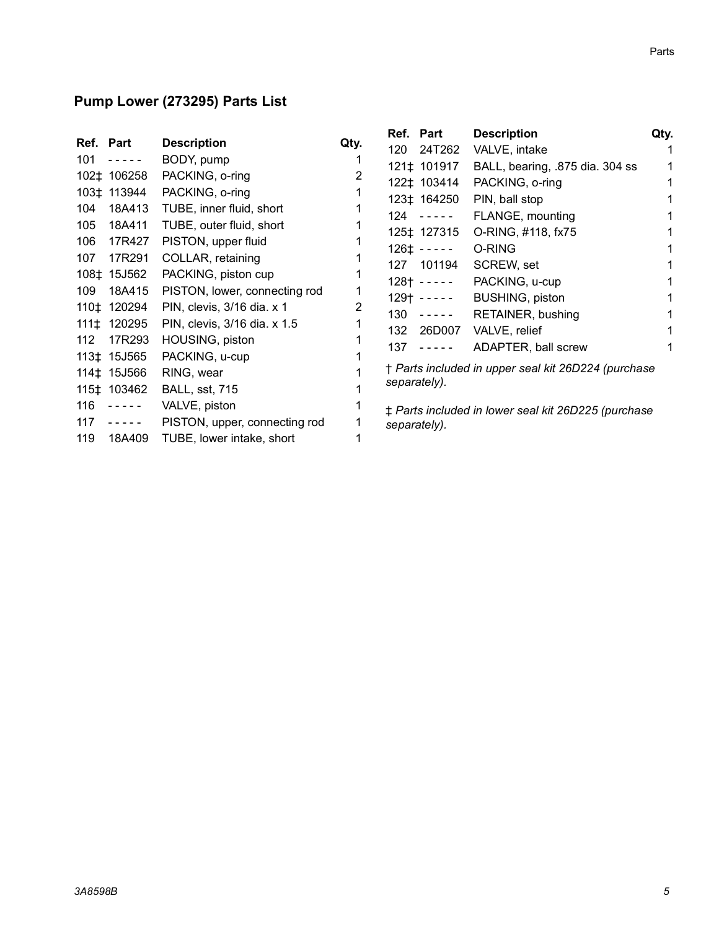#### **Pump Lower (273295) Parts List**

|                  |                                                                                                                                                                                 |                               |      | Ref. Part    |                                                                                                                                                                                                                                                                                                                                                                                                                                                                            | <b>Description</b>                                  | Qty. |
|------------------|---------------------------------------------------------------------------------------------------------------------------------------------------------------------------------|-------------------------------|------|--------------|----------------------------------------------------------------------------------------------------------------------------------------------------------------------------------------------------------------------------------------------------------------------------------------------------------------------------------------------------------------------------------------------------------------------------------------------------------------------------|-----------------------------------------------------|------|
| Ref. Part        |                                                                                                                                                                                 | <b>Description</b>            | Qty. | 120          | 24T262                                                                                                                                                                                                                                                                                                                                                                                                                                                                     | VALVE, intake                                       |      |
| 101              | $\frac{1}{2} \frac{1}{2} \frac{1}{2} \frac{1}{2} \frac{1}{2} \frac{1}{2} \frac{1}{2} \frac{1}{2} \frac{1}{2} \frac{1}{2}$                                                       | BODY, pump                    |      |              | 121‡ 101917                                                                                                                                                                                                                                                                                                                                                                                                                                                                | BALL, bearing, .875 dia. 304 ss                     |      |
|                  | 102‡ 106258                                                                                                                                                                     | PACKING, o-ring               |      |              | 122‡ 103414                                                                                                                                                                                                                                                                                                                                                                                                                                                                | PACKING, o-ring                                     |      |
|                  | 103‡ 113944                                                                                                                                                                     | PACKING, o-ring               |      |              | 123‡ 164250                                                                                                                                                                                                                                                                                                                                                                                                                                                                | PIN, ball stop                                      |      |
| 104              | 18A413                                                                                                                                                                          | TUBE, inner fluid, short      |      |              |                                                                                                                                                                                                                                                                                                                                                                                                                                                                            |                                                     |      |
| 105              | 18A411                                                                                                                                                                          | TUBE, outer fluid, short      |      |              | 124 -----                                                                                                                                                                                                                                                                                                                                                                                                                                                                  | FLANGE, mounting                                    |      |
| 106              | 17R427                                                                                                                                                                          | PISTON, upper fluid           |      |              | 125‡ 127315                                                                                                                                                                                                                                                                                                                                                                                                                                                                | O-RING, #118, fx75                                  |      |
| 107              | 17R291                                                                                                                                                                          | COLLAR, retaining             |      |              | $126+ - - - -$                                                                                                                                                                                                                                                                                                                                                                                                                                                             | O-RING                                              |      |
|                  | 108‡ 15J562                                                                                                                                                                     |                               |      |              | 127 101194                                                                                                                                                                                                                                                                                                                                                                                                                                                                 | SCREW, set                                          |      |
|                  |                                                                                                                                                                                 | PACKING, piston cup           |      |              | 128† -----                                                                                                                                                                                                                                                                                                                                                                                                                                                                 | PACKING, u-cup                                      |      |
| 109              | 18A415                                                                                                                                                                          | PISTON, lower, connecting rod |      |              | $129$ + $- - - -$                                                                                                                                                                                                                                                                                                                                                                                                                                                          | <b>BUSHING, piston</b>                              |      |
|                  | 110‡ 120294                                                                                                                                                                     | PIN, clevis, 3/16 dia. x 1    | 2    |              | $130 - - - -$                                                                                                                                                                                                                                                                                                                                                                                                                                                              | RETAINER, bushing                                   |      |
|                  | 111‡ 120295                                                                                                                                                                     | PIN, clevis, 3/16 dia. x 1.5  |      | 132          | 26D007                                                                                                                                                                                                                                                                                                                                                                                                                                                                     | VALVE, relief                                       |      |
| 112 <sup>2</sup> | 17R293                                                                                                                                                                          | HOUSING, piston               |      | 137          | $\frac{1}{2} \left( \frac{1}{2} \right) \left( \frac{1}{2} \right) \left( \frac{1}{2} \right) \left( \frac{1}{2} \right) \left( \frac{1}{2} \right) \left( \frac{1}{2} \right) \left( \frac{1}{2} \right) \left( \frac{1}{2} \right) \left( \frac{1}{2} \right) \left( \frac{1}{2} \right) \left( \frac{1}{2} \right) \left( \frac{1}{2} \right) \left( \frac{1}{2} \right) \left( \frac{1}{2} \right) \left( \frac{1}{2} \right) \left( \frac{1}{2} \right) \left( \frac$ | ADAPTER, ball screw                                 |      |
|                  | 113‡ 15J565                                                                                                                                                                     | PACKING, u-cup                |      |              |                                                                                                                                                                                                                                                                                                                                                                                                                                                                            |                                                     |      |
|                  | 114‡ 15J566                                                                                                                                                                     | RING, wear                    |      |              |                                                                                                                                                                                                                                                                                                                                                                                                                                                                            | † Parts included in upper seal kit 26D224 (purchase |      |
|                  | 115‡ 103462                                                                                                                                                                     | <b>BALL, sst, 715</b>         |      | separately). |                                                                                                                                                                                                                                                                                                                                                                                                                                                                            |                                                     |      |
| 116              | $\omega_{\rm c}$ and $\omega_{\rm c}$ and $\omega_{\rm c}$                                                                                                                      | VALVE, piston                 |      |              |                                                                                                                                                                                                                                                                                                                                                                                                                                                                            | ± Parts included in lower seal kit 26D225 (purchase |      |
| 117              | $\frac{1}{2} \left( \frac{1}{2} \right) \left( \frac{1}{2} \right) \left( \frac{1}{2} \right) \left( \frac{1}{2} \right) \left( \frac{1}{2} \right) \left( \frac{1}{2} \right)$ | PISTON, upper, connecting rod |      | separately). |                                                                                                                                                                                                                                                                                                                                                                                                                                                                            |                                                     |      |
| 119              | 18A409                                                                                                                                                                          | TUBE, lower intake, short     |      |              |                                                                                                                                                                                                                                                                                                                                                                                                                                                                            |                                                     |      |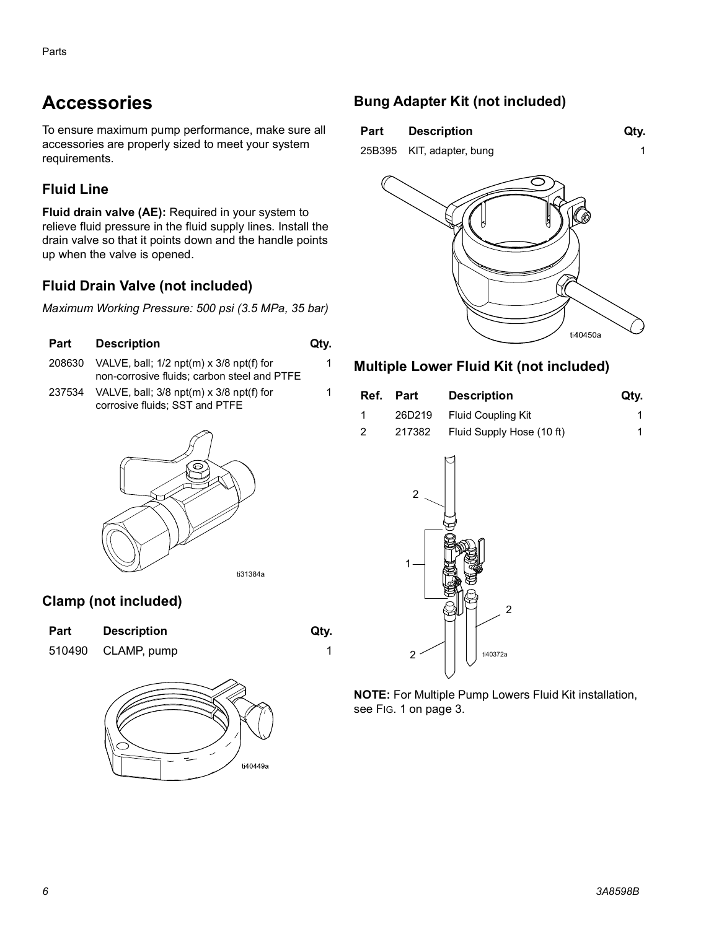### <span id="page-5-0"></span>**Accessories**

To ensure maximum pump performance, make sure all accessories are properly sized to meet your system requirements.

#### **Fluid Line**

**Fluid drain valve (AE):** Required in your system to relieve fluid pressure in the fluid supply lines. Install the drain valve so that it points down and the handle points up when the valve is opened.

### **Fluid Drain Valve (not included)**

*Maximum Working Pressure: 500 psi (3.5 MPa, 35 bar)*

#### **Part Description City.**

- 208630 VALVE, ball; 1/2 npt(m) x 3/8 npt(f) for non-corrosive fluids; carbon steel and PTFE
- 237534 VALVE, ball; 3/8 npt(m) x 3/8 npt(f) for corrosive fluids; SST and PTFE



#### **Clamp (not included)**

| <b>Part</b> | <b>Description</b> | Qty. |
|-------------|--------------------|------|
|             | 510490 CLAMP, pump |      |





1

1

#### **Bung Adapter Kit (not included)**

| Part          | <b>Description</b> | Qty. |
|---------------|--------------------|------|
| $- - - - - -$ |                    |      |

25B395 KIT, adapter, bung 1



#### **Multiple Lower Fluid Kit (not included)**

|                | Ref. Part | <b>Description</b>               | Qty. |
|----------------|-----------|----------------------------------|------|
|                |           | 26D219 Fluid Coupling Kit        |      |
| $\overline{2}$ |           | 217382 Fluid Supply Hose (10 ft) |      |



**NOTE:** For Multiple Pump Lowers Fluid Kit installation, see FIG. 1 on page 3.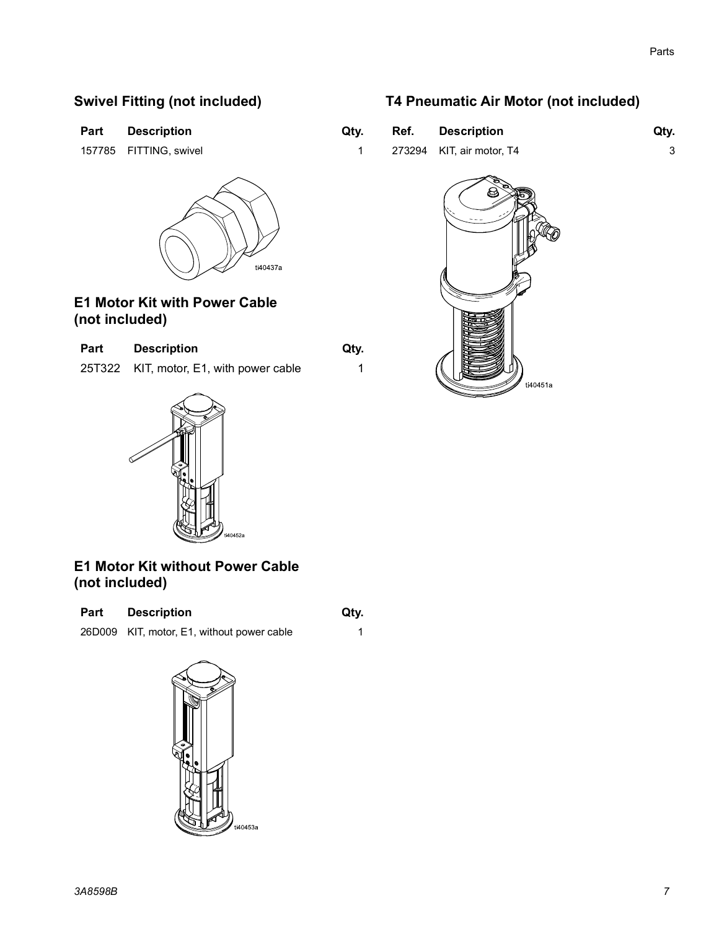#### **Swivel Fitting (not included)**

| <b>Part</b> | <b>Description</b> | Qty. |
|-------------|--------------------|------|
|-------------|--------------------|------|

157785 FITTING, swivel



#### **E1 Motor Kit with Power Cable (not included)**

| <b>Part</b> | <b>Description</b>                      | Qty. |
|-------------|-----------------------------------------|------|
|             | 25T322 KIT, motor, E1, with power cable |      |





**E1 Motor Kit without Power Cable (not included)**

Part Description **Qty.** 

26D009 KIT, motor, E1, without power cable 1



### **T4 Pneumatic Air Motor (not included)**

| Įty. | Ref. Description          | Qty. |
|------|---------------------------|------|
|      | 273294 KIT, air motor, T4 |      |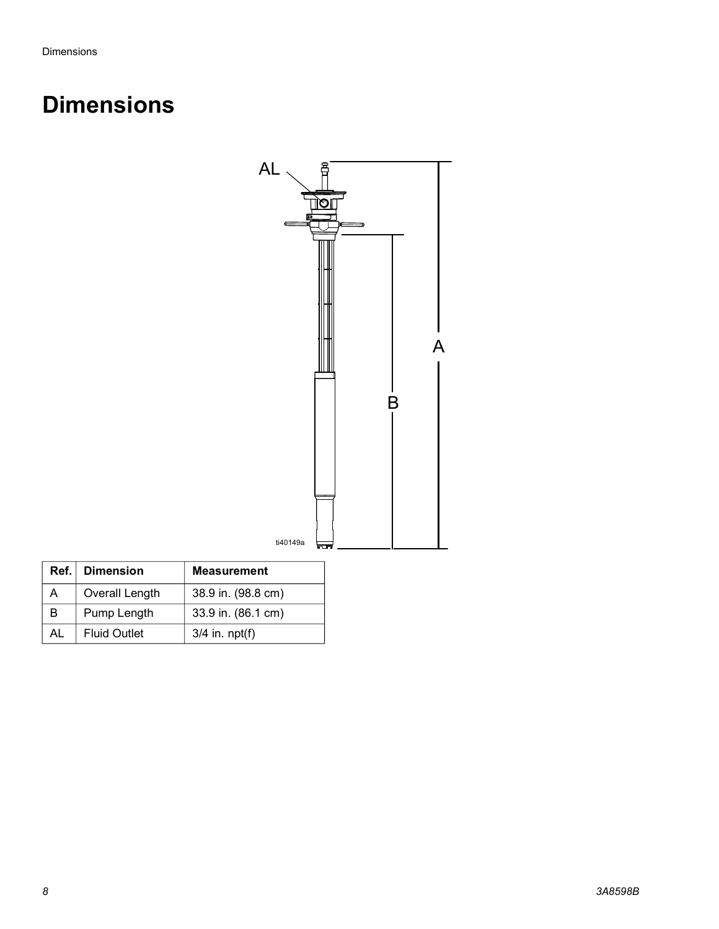## <span id="page-7-0"></span>**Dimensions**



|                     | Ref.   Dimension    | <b>Measurement</b> |
|---------------------|---------------------|--------------------|
| Overall Length<br>A |                     | 38.9 in. (98.8 cm) |
| Pump Length<br>B    |                     | 33.9 in. (86.1 cm) |
| AL                  | <b>Fluid Outlet</b> | $3/4$ in. npt(f)   |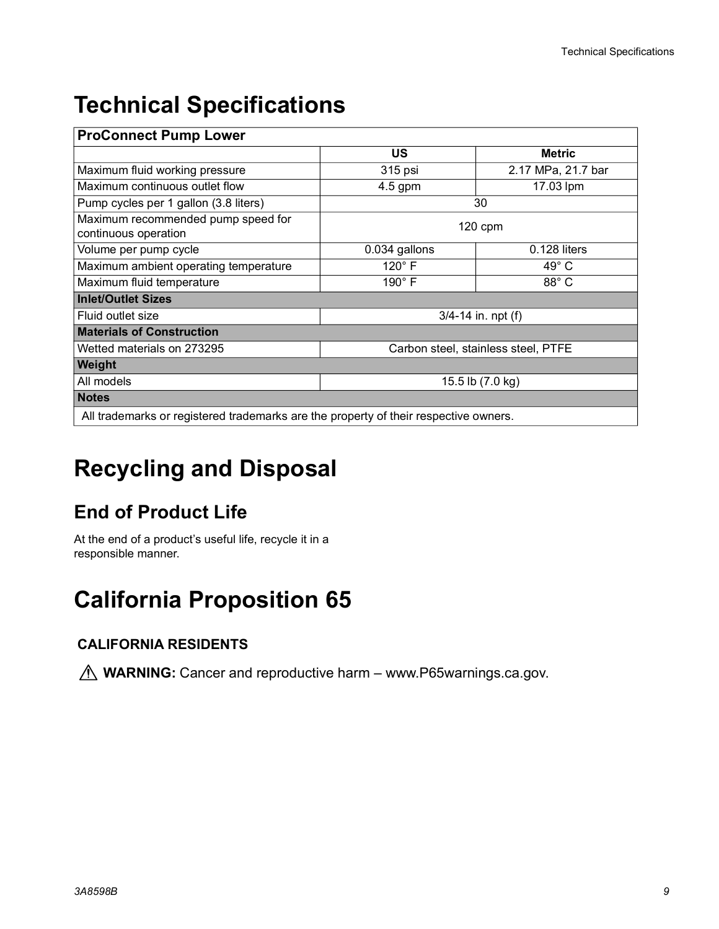### <span id="page-8-0"></span>**Technical Specifications**

| <b>ProConnect Pump Lower</b>                                                         |                                     |                    |
|--------------------------------------------------------------------------------------|-------------------------------------|--------------------|
|                                                                                      | US                                  | <b>Metric</b>      |
| Maximum fluid working pressure                                                       | 315 psi                             | 2.17 MPa, 21.7 bar |
| Maximum continuous outlet flow                                                       | $4.5$ gpm                           | 17.03 lpm          |
| Pump cycles per 1 gallon (3.8 liters)                                                | 30                                  |                    |
| Maximum recommended pump speed for<br>continuous operation                           | $120$ cpm                           |                    |
| Volume per pump cycle                                                                | 0.034 gallons                       | 0.128 liters       |
| Maximum ambient operating temperature                                                | 120°F                               | $49^{\circ}$ C     |
| Maximum fluid temperature                                                            | $190^\circ$ F                       | 88° C              |
| <b>Inlet/Outlet Sizes</b>                                                            |                                     |                    |
| Fluid outlet size                                                                    | $3/4 - 14$ in. npt (f)              |                    |
| <b>Materials of Construction</b>                                                     |                                     |                    |
| Wetted materials on 273295                                                           | Carbon steel, stainless steel, PTFE |                    |
| Weight                                                                               |                                     |                    |
| All models                                                                           | 15.5 lb (7.0 kg)                    |                    |
| <b>Notes</b>                                                                         |                                     |                    |
| All trademarks or registered trademarks are the property of their respective owners. |                                     |                    |

# <span id="page-8-1"></span>**Recycling and Disposal**

### <span id="page-8-2"></span>**End of Product Life**

At the end of a product's useful life, recycle it in a responsible manner.

## <span id="page-8-3"></span>**California Proposition 65**

### **CALIFORNIA RESIDENTS**

**M** WARNING: Cancer and reproductive harm – www.P65warnings.ca.gov.